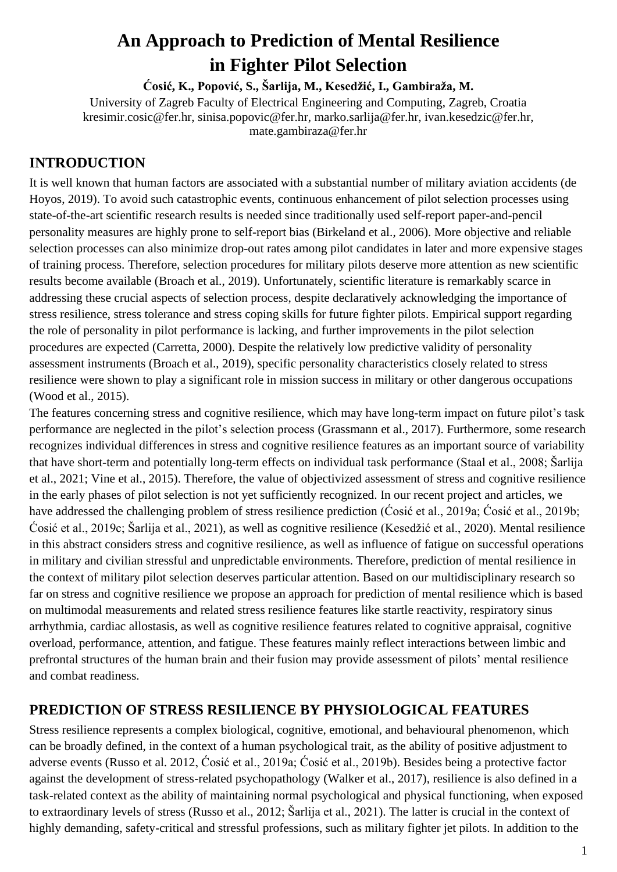# **An Approach to Prediction of Mental Resilience in Fighter Pilot Selection**

**Ćosić, K., Popović, S., Šarlija, M., Kesedžić, I., Gambiraža, M.**

University of Zagreb Faculty of Electrical Engineering and Computing, Zagreb, Croatia kresimir.cosic@fer.hr, sinisa.popovic@fer.hr, marko.sarlija@fer.hr, ivan.kesedzic@fer.hr, mate.gambiraza@fer.hr

## **INTRODUCTION**

It is well known that human factors are associated with a substantial number of military aviation accidents (de Hoyos, 2019). To avoid such catastrophic events, continuous enhancement of pilot selection processes using state-of-the-art scientific research results is needed since traditionally used self-report paper-and-pencil personality measures are highly prone to self-report bias (Birkeland et al., 2006). More objective and reliable selection processes can also minimize drop-out rates among pilot candidates in later and more expensive stages of training process. Therefore, selection procedures for military pilots deserve more attention as new scientific results become available (Broach et al., 2019). Unfortunately, scientific literature is remarkably scarce in addressing these crucial aspects of selection process, despite declaratively acknowledging the importance of stress resilience, stress tolerance and stress coping skills for future fighter pilots. Empirical support regarding the role of personality in pilot performance is lacking, and further improvements in the pilot selection procedures are expected (Carretta, 2000). Despite the relatively low predictive validity of personality assessment instruments (Broach et al., 2019), specific personality characteristics closely related to stress resilience were shown to play a significant role in mission success in military or other dangerous occupations (Wood et al., 2015).

The features concerning stress and cognitive resilience, which may have long-term impact on future pilot's task performance are neglected in the pilot's selection process (Grassmann et al., 2017). Furthermore, some research recognizes individual differences in stress and cognitive resilience features as an important source of variability that have short-term and potentially long-term effects on individual task performance (Staal et al., 2008; Šarlija et al., 2021; Vine et al., 2015). Therefore, the value of objectivized assessment of stress and cognitive resilience in the early phases of pilot selection is not yet sufficiently recognized. In our recent project and articles, we have addressed the challenging problem of stress resilience prediction (Cosić et al., 2019a; Cosić et al., 2019b; Ćosić et al., 2019c; Šarlija et al., 2021), as well as cognitive resilience (Kesedžić et al., 2020). Mental resilience in this abstract considers stress and cognitive resilience, as well as influence of fatigue on successful operations in military and civilian stressful and unpredictable environments. Therefore, prediction of mental resilience in the context of military pilot selection deserves particular attention. Based on our multidisciplinary research so far on stress and cognitive resilience we propose an approach for prediction of mental resilience which is based on multimodal measurements and related stress resilience features like startle reactivity, respiratory sinus arrhythmia, cardiac allostasis, as well as cognitive resilience features related to cognitive appraisal, cognitive overload, performance, attention, and fatigue. These features mainly reflect interactions between limbic and prefrontal structures of the human brain and their fusion may provide assessment of pilots' mental resilience and combat readiness.

### **PREDICTION OF STRESS RESILIENCE BY PHYSIOLOGICAL FEATURES**

Stress resilience represents a complex biological, cognitive, emotional, and behavioural phenomenon, which can be broadly defined, in the context of a human psychological trait, as the ability of positive adjustment to adverse events (Russo et al. 2012, Ćosić et al., 2019a; Ćosić et al., 2019b). Besides being a protective factor against the development of stress-related psychopathology (Walker et al., 2017), resilience is also defined in a task-related context as the ability of maintaining normal psychological and physical functioning, when exposed to extraordinary levels of stress (Russo et al., 2012; Šarlija et al., 2021). The latter is crucial in the context of highly demanding, safety-critical and stressful professions, such as military fighter jet pilots. In addition to the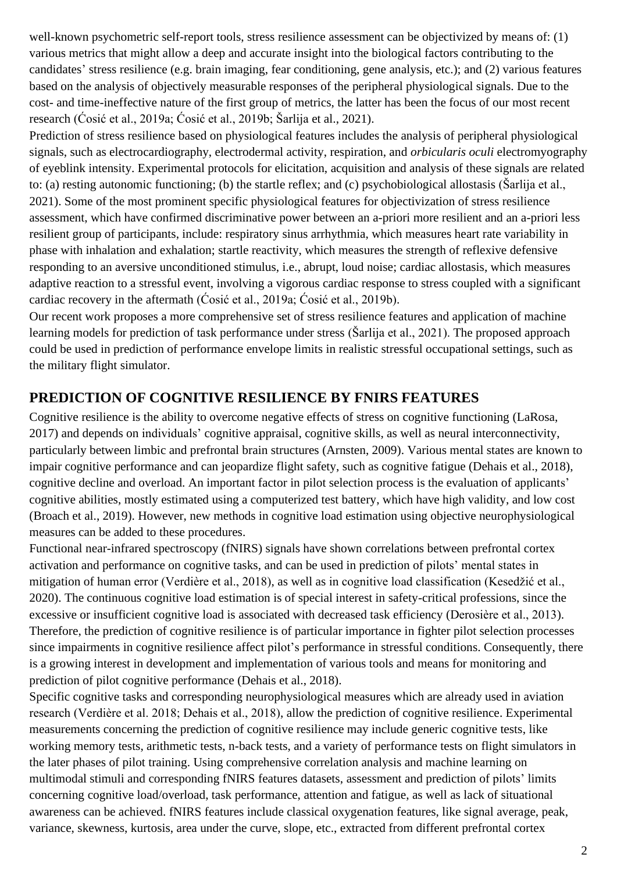well-known psychometric self-report tools, stress resilience assessment can be objectivized by means of: (1) various metrics that might allow a deep and accurate insight into the biological factors contributing to the candidates' stress resilience (e.g. brain imaging, fear conditioning, gene analysis, etc.); and (2) various features based on the analysis of objectively measurable responses of the peripheral physiological signals. Due to the cost- and time-ineffective nature of the first group of metrics, the latter has been the focus of our most recent research (Ćosić et al., 2019a; Ćosić et al., 2019b; Šarlija et al., 2021).

Prediction of stress resilience based on physiological features includes the analysis of peripheral physiological signals, such as electrocardiography, electrodermal activity, respiration, and *orbicularis oculi* electromyography of eyeblink intensity. Experimental protocols for elicitation, acquisition and analysis of these signals are related to: (a) resting autonomic functioning; (b) the startle reflex; and (c) psychobiological allostasis (Šarlija et al., 2021). Some of the most prominent specific physiological features for objectivization of stress resilience assessment, which have confirmed discriminative power between an a-priori more resilient and an a-priori less resilient group of participants, include: respiratory sinus arrhythmia, which measures heart rate variability in phase with inhalation and exhalation; startle reactivity, which measures the strength of reflexive defensive responding to an aversive unconditioned stimulus, i.e., abrupt, loud noise; cardiac allostasis, which measures adaptive reaction to a stressful event, involving a vigorous cardiac response to stress coupled with a significant cardiac recovery in the aftermath (Ćosić et al., 2019a; Ćosić et al., 2019b).

Our recent work proposes a more comprehensive set of stress resilience features and application of machine learning models for prediction of task performance under stress (Šarlija et al., 2021). The proposed approach could be used in prediction of performance envelope limits in realistic stressful occupational settings, such as the military flight simulator.

#### **PREDICTION OF COGNITIVE RESILIENCE BY FNIRS FEATURES**

Cognitive resilience is the ability to overcome negative effects of stress on cognitive functioning (LaRosa, 2017) and depends on individuals' cognitive appraisal, cognitive skills, as well as neural interconnectivity, particularly between limbic and prefrontal brain structures (Arnsten, 2009). Various mental states are known to impair cognitive performance and can jeopardize flight safety, such as cognitive fatigue (Dehais et al., 2018), cognitive decline and overload. An important factor in pilot selection process is the evaluation of applicants' cognitive abilities, mostly estimated using a computerized test battery, which have high validity, and low cost (Broach et al., 2019). However, new methods in cognitive load estimation using objective neurophysiological measures can be added to these procedures.

Functional near-infrared spectroscopy (fNIRS) signals have shown correlations between prefrontal cortex activation and performance on cognitive tasks, and can be used in prediction of pilots' mental states in mitigation of human error (Verdière et al., 2018), as well as in cognitive load classification (Kesedžić et al., 2020). The continuous cognitive load estimation is of special interest in safety-critical professions, since the excessive or insufficient cognitive load is associated with decreased task efficiency (Derosière et al., 2013). Therefore, the prediction of cognitive resilience is of particular importance in fighter pilot selection processes since impairments in cognitive resilience affect pilot's performance in stressful conditions. Consequently, there is a growing interest in development and implementation of various tools and means for monitoring and prediction of pilot cognitive performance (Dehais et al., 2018).

Specific cognitive tasks and corresponding neurophysiological measures which are already used in aviation research (Verdière et al. 2018; Dehais et al., 2018), allow the prediction of cognitive resilience. Experimental measurements concerning the prediction of cognitive resilience may include generic cognitive tests, like working memory tests, arithmetic tests, n-back tests, and a variety of performance tests on flight simulators in the later phases of pilot training. Using comprehensive correlation analysis and machine learning on multimodal stimuli and corresponding fNIRS features datasets, assessment and prediction of pilots' limits concerning cognitive load/overload, task performance, attention and fatigue, as well as lack of situational awareness can be achieved. fNIRS features include classical oxygenation features, like signal average, peak, variance, skewness, kurtosis, area under the curve, slope, etc., extracted from different prefrontal cortex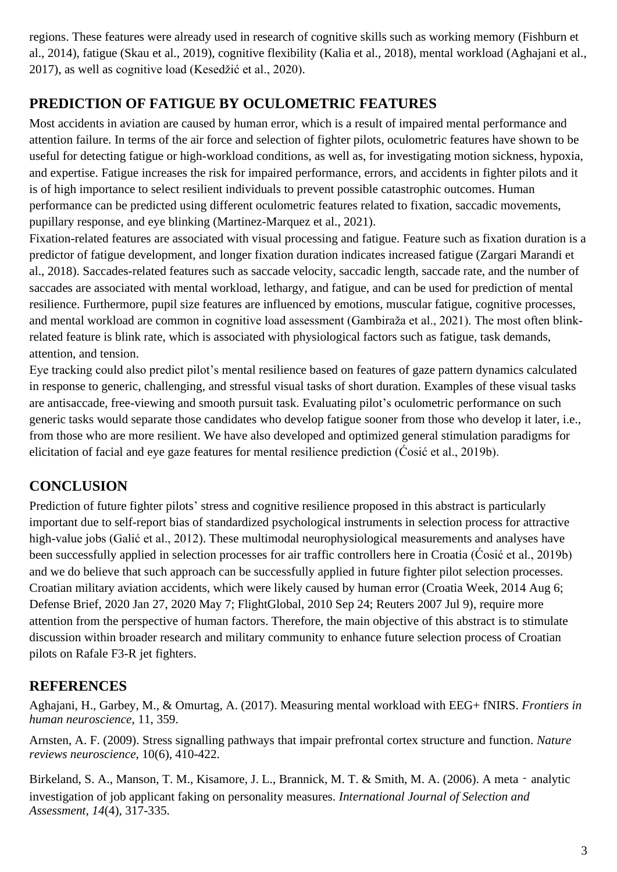regions. These features were already used in research of cognitive skills such as working memory (Fishburn et al., 2014), fatigue (Skau et al., 2019), cognitive flexibility (Kalia et al., 2018), mental workload (Aghajani et al., 2017), as well as cognitive load (Kesedžić et al., 2020).

## **PREDICTION OF FATIGUE BY OCULOMETRIC FEATURES**

Most accidents in aviation are caused by human error, which is a result of impaired mental performance and attention failure. In terms of the air force and selection of fighter pilots, oculometric features have shown to be useful for detecting fatigue or high-workload conditions, as well as, for investigating motion sickness, hypoxia, and expertise. Fatigue increases the risk for impaired performance, errors, and accidents in fighter pilots and it is of high importance to select resilient individuals to prevent possible catastrophic outcomes. Human performance can be predicted using different oculometric features related to fixation, saccadic movements, pupillary response, and eye blinking (Martinez-Marquez et al., 2021).

Fixation-related features are associated with visual processing and fatigue. Feature such as fixation duration is a predictor of fatigue development, and longer fixation duration indicates increased fatigue (Zargari Marandi et al., 2018). Saccades-related features such as saccade velocity, saccadic length, saccade rate, and the number of saccades are associated with mental workload, lethargy, and fatigue, and can be used for prediction of mental resilience. Furthermore, pupil size features are influenced by emotions, muscular fatigue, cognitive processes, and mental workload are common in cognitive load assessment (Gambiraža et al., 2021). The most often blinkrelated feature is blink rate, which is associated with physiological factors such as fatigue, task demands, attention, and tension.

Eye tracking could also predict pilot's mental resilience based on features of gaze pattern dynamics calculated in response to generic, challenging, and stressful visual tasks of short duration. Examples of these visual tasks are antisaccade, free-viewing and smooth pursuit task. Evaluating pilot's oculometric performance on such generic tasks would separate those candidates who develop fatigue sooner from those who develop it later, i.e., from those who are more resilient. We have also developed and optimized general stimulation paradigms for elicitation of facial and eye gaze features for mental resilience prediction (Ćosić et al., 2019b).

## **CONCLUSION**

Prediction of future fighter pilots' stress and cognitive resilience proposed in this abstract is particularly important due to self-report bias of standardized psychological instruments in selection process for attractive high-value jobs (Galić et al., 2012). These multimodal neurophysiological measurements and analyses have been successfully applied in selection processes for air traffic controllers here in Croatia (Ćosić et al., 2019b) and we do believe that such approach can be successfully applied in future fighter pilot selection processes. Croatian military aviation accidents, which were likely caused by human error (Croatia Week, 2014 Aug 6; Defense Brief, 2020 Jan 27, 2020 May 7; FlightGlobal, 2010 Sep 24; Reuters 2007 Jul 9), require more attention from the perspective of human factors. Therefore, the main objective of this abstract is to stimulate discussion within broader research and military community to enhance future selection process of Croatian pilots on Rafale F3-R jet fighters.

## **REFERENCES**

Aghajani, H., Garbey, M., & Omurtag, A. (2017). Measuring mental workload with EEG+ fNIRS. *Frontiers in human neuroscience*, 11, 359.

Arnsten, A. F. (2009). Stress signalling pathways that impair prefrontal cortex structure and function. *Nature reviews neuroscience*, 10(6), 410-422.

Birkeland, S. A., Manson, T. M., Kisamore, J. L., Brannick, M. T. & Smith, M. A. (2006). A meta - analytic investigation of job applicant faking on personality measures. *International Journal of Selection and Assessment, 14*(4), 317-335.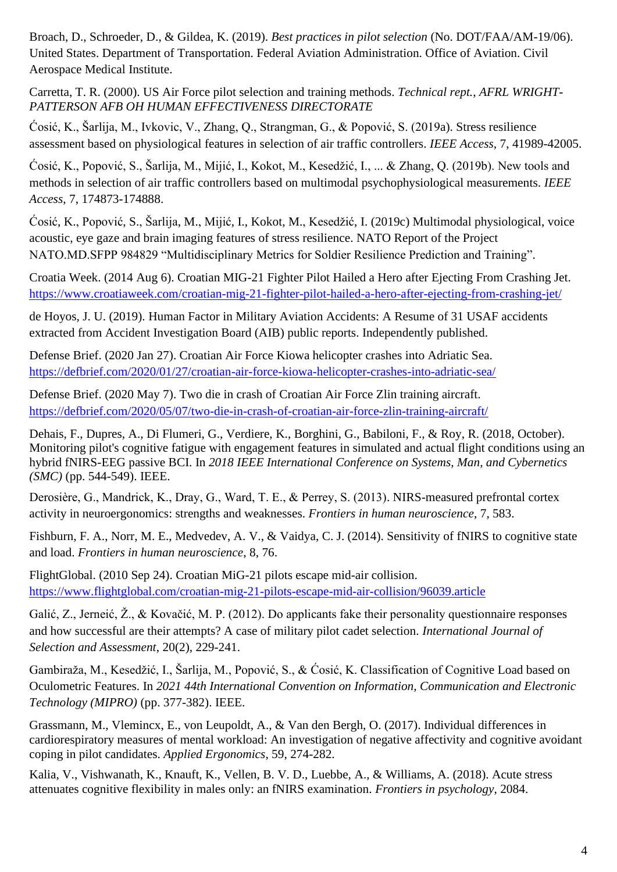Broach, D., Schroeder, D., & Gildea, K. (2019). *Best practices in pilot selection* (No. DOT/FAA/AM-19/06). United States. Department of Transportation. Federal Aviation Administration. Office of Aviation. Civil Aerospace Medical Institute.

Carretta, T. R. (2000). US Air Force pilot selection and training methods. *Technical rept.*, *AFRL WRIGHT-PATTERSON AFB OH HUMAN EFFECTIVENESS DIRECTORATE*

Ćosić, K., Šarlija, M., Ivkovic, V., Zhang, Q., Strangman, G., & Popović, S. (2019a). Stress resilience assessment based on physiological features in selection of air traffic controllers. *IEEE Access*, 7, 41989-42005.

Ćosić, K., Popović, S., Šarlija, M., Mijić, I., Kokot, M., Kesedžić, I., ... & Zhang, Q. (2019b). New tools and methods in selection of air traffic controllers based on multimodal psychophysiological measurements. *IEEE Access*, 7, 174873-174888.

Ćosić, K., Popović, S., Šarlija, M., Mijić, I., Kokot, M., Kesedžić, I. (2019c) Multimodal physiological, voice acoustic, eye gaze and brain imaging features of stress resilience. NATO Report of the Project NATO.MD.SFPP 984829 "Multidisciplinary Metrics for Soldier Resilience Prediction and Training".

Croatia Week. (2014 Aug 6). Croatian MIG-21 Fighter Pilot Hailed a Hero after Ejecting From Crashing Jet. <https://www.croatiaweek.com/croatian-mig-21-fighter-pilot-hailed-a-hero-after-ejecting-from-crashing-jet/>

de Hoyos, J. U. (2019). Human Factor in Military Aviation Accidents: A Resume of 31 USAF accidents extracted from Accident Investigation Board (AIB) public reports. Independently published.

Defense Brief. (2020 Jan 27). Croatian Air Force Kiowa helicopter crashes into Adriatic Sea. <https://defbrief.com/2020/01/27/croatian-air-force-kiowa-helicopter-crashes-into-adriatic-sea/>

Defense Brief. (2020 May 7). Two die in crash of Croatian Air Force Zlin training aircraft. <https://defbrief.com/2020/05/07/two-die-in-crash-of-croatian-air-force-zlin-training-aircraft/>

Dehais, F., Dupres, A., Di Flumeri, G., Verdiere, K., Borghini, G., Babiloni, F., & Roy, R. (2018, October). Monitoring pilot's cognitive fatigue with engagement features in simulated and actual flight conditions using an hybrid fNIRS-EEG passive BCI. In *2018 IEEE International Conference on Systems, Man, and Cybernetics (SMC)* (pp. 544-549). IEEE.

Derosière, G., Mandrick, K., Dray, G., Ward, T. E., & Perrey, S. (2013). NIRS-measured prefrontal cortex activity in neuroergonomics: strengths and weaknesses. *Frontiers in human neuroscience*, 7, 583.

Fishburn, F. A., Norr, M. E., Medvedev, A. V., & Vaidya, C. J. (2014). Sensitivity of fNIRS to cognitive state and load. *Frontiers in human neuroscience*, 8, 76.

FlightGlobal. (2010 Sep 24). Croatian MiG-21 pilots escape mid-air collision. <https://www.flightglobal.com/croatian-mig-21-pilots-escape-mid-air-collision/96039.article>

Galić, Z., Jerneić, Ž., & Kovačić, M. P. (2012). Do applicants fake their personality questionnaire responses and how successful are their attempts? A case of military pilot cadet selection. *International Journal of Selection and Assessment*, 20(2), 229-241.

Gambiraža, M., Kesedžić, I., Šarlija, M., Popović, S., & Ćosić, K. Classification of Cognitive Load based on Oculometric Features. In *2021 44th International Convention on Information, Communication and Electronic Technology (MIPRO)* (pp. 377-382). IEEE.

Grassmann, M., Vlemincx, E., von Leupoldt, A., & Van den Bergh, O. (2017). Individual differences in cardiorespiratory measures of mental workload: An investigation of negative affectivity and cognitive avoidant coping in pilot candidates. *Applied Ergonomics*, 59, 274-282.

Kalia, V., Vishwanath, K., Knauft, K., Vellen, B. V. D., Luebbe, A., & Williams, A. (2018). Acute stress attenuates cognitive flexibility in males only: an fNIRS examination. *Frontiers in psychology*, 2084.